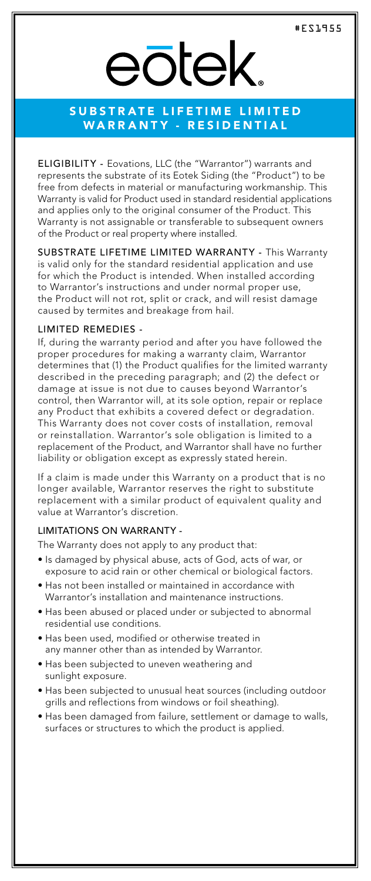# eōtek

## SUBSTRATE LIFETIME LIMITED WARRANTY - RESIDENTIAL

ELIGIBILITY - Eovations, LLC (the "Warrantor") warrants and represents the substrate of its Eotek Siding (the "Product") to be free from defects in material or manufacturing workmanship. This Warranty is valid for Product used in standard residential applications and applies only to the original consumer of the Product. This Warranty is not assignable or transferable to subsequent owners of the Product or real property where installed.

SUBSTRATE LIFETIME LIMITED WARRANTY - This Warranty is valid only for the standard residential application and use for which the Product is intended. When installed according to Warrantor's instructions and under normal proper use, the Product will not rot, split or crack, and will resist damage caused by termites and breakage from hail.

#### LIMITED REMEDIES -

If, during the warranty period and after you have followed the proper procedures for making a warranty claim, Warrantor determines that (1) the Product qualifies for the limited warranty described in the preceding paragraph; and (2) the defect or damage at issue is not due to causes beyond Warrantor's control, then Warrantor will, at its sole option, repair or replace any Product that exhibits a covered defect or degradation. This Warranty does not cover costs of installation, removal or reinstallation. Warrantor's sole obligation is limited to a replacement of the Product, and Warrantor shall have no further liability or obligation except as expressly stated herein.

If a claim is made under this Warranty on a product that is no longer available, Warrantor reserves the right to substitute replacement with a similar product of equivalent quality and value at Warrantor's discretion.

#### LIMITATIONS ON WARRANTY -

The Warranty does not apply to any product that:

- Is damaged by physical abuse, acts of God, acts of war, or exposure to acid rain or other chemical or biological factors.
- Has not been installed or maintained in accordance with Warrantor's installation and maintenance instructions.
- Has been abused or placed under or subjected to abnormal residential use conditions.
- Has been used, modified or otherwise treated in any manner other than as intended by Warrantor.
- Has been subjected to uneven weathering and sunlight exposure.
- Has been subjected to unusual heat sources (including outdoor grills and reflections from windows or foil sheathing).
- Has been damaged from failure, settlement or damage to walls, surfaces or structures to which the product is applied.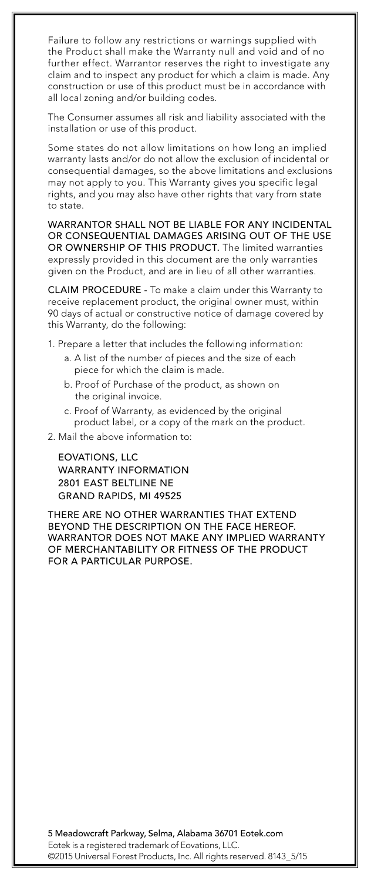Failure to follow any restrictions or warnings supplied with the Product shall make the Warranty null and void and of no further effect. Warrantor reserves the right to investigate any claim and to inspect any product for which a claim is made. Any construction or use of this product must be in accordance with all local zoning and/or building codes.

The Consumer assumes all risk and liability associated with the installation or use of this product.

Some states do not allow limitations on how long an implied warranty lasts and/or do not allow the exclusion of incidental or consequential damages, so the above limitations and exclusions may not apply to you. This Warranty gives you specific legal rights, and you may also have other rights that vary from state to state.

WARRANTOR SHALL NOT BE LIABLE FOR ANY INCIDENTAL OR CONSEQUENTIAL DAMAGES ARISING OUT OF THE USE OR OWNERSHIP OF THIS PRODUCT. The limited warranties expressly provided in this document are the only warranties given on the Product, and are in lieu of all other warranties.

CLAIM PROCEDURE - To make a claim under this Warranty to receive replacement product, the original owner must, within 90 days of actual or constructive notice of damage covered by this Warranty, do the following:

1. Prepare a letter that includes the following information:

- a. A list of the number of pieces and the size of each piece for which the claim is made.
- b. Proof of Purchase of the product, as shown on the original invoice.
- c. Proof of Warranty, as evidenced by the original product label, or a copy of the mark on the product.

2. Mail the above information to:

EOVATIONS, LLC WARRANTY INFORMATION 2801 EAST BELTLINE NE GRAND RAPIDS, MI 49525

THERE ARE NO OTHER WARRANTIES THAT EXTEND BEYOND THE DESCRIPTION ON THE FACE HEREOF. WARRANTOR DOES NOT MAKE ANY IMPLIED WARRANTY OF MERCHANTABILITY OR FITNESS OF THE PRODUCT FOR A PARTICULAR PURPOSE.

5 Meadowcraft Parkway, Selma, Alabama 36701 Eotek.com Eotek is a registered trademark of Eovations, LLC. ©2015 Universal Forest Products, Inc. All rights reserved. 8143\_5/15